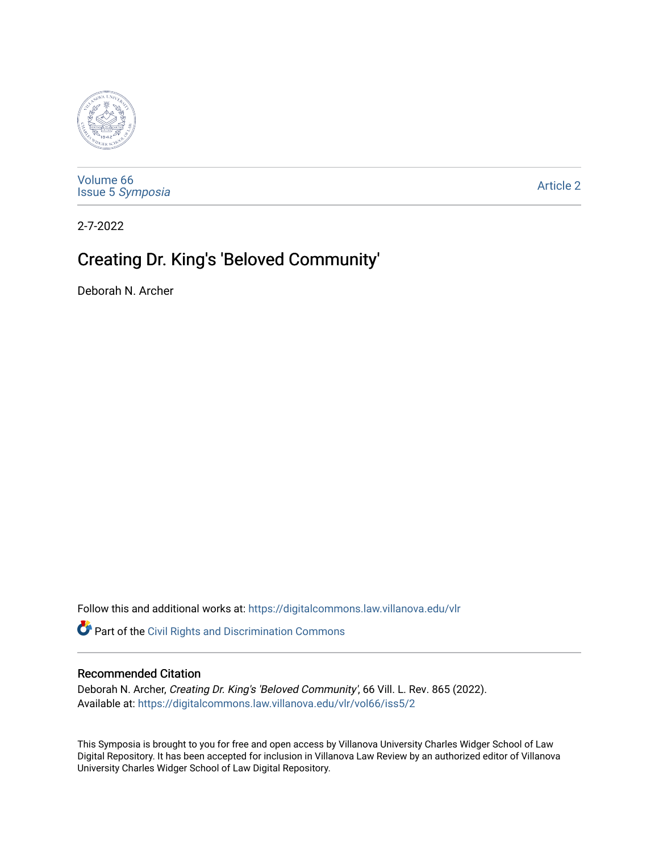

[Volume 66](https://digitalcommons.law.villanova.edu/vlr/vol66) Issue 5 [Symposia](https://digitalcommons.law.villanova.edu/vlr/vol66/iss5) 

[Article 2](https://digitalcommons.law.villanova.edu/vlr/vol66/iss5/2) 

2-7-2022

# Creating Dr. King's 'Beloved Community'

Deborah N. Archer

Follow this and additional works at: [https://digitalcommons.law.villanova.edu/vlr](https://digitalcommons.law.villanova.edu/vlr?utm_source=digitalcommons.law.villanova.edu%2Fvlr%2Fvol66%2Fiss5%2F2&utm_medium=PDF&utm_campaign=PDFCoverPages)

Part of the [Civil Rights and Discrimination Commons](http://network.bepress.com/hgg/discipline/585?utm_source=digitalcommons.law.villanova.edu%2Fvlr%2Fvol66%2Fiss5%2F2&utm_medium=PDF&utm_campaign=PDFCoverPages) 

### Recommended Citation

Deborah N. Archer, Creating Dr. King's 'Beloved Community', 66 Vill. L. Rev. 865 (2022). Available at: [https://digitalcommons.law.villanova.edu/vlr/vol66/iss5/2](https://digitalcommons.law.villanova.edu/vlr/vol66/iss5/2?utm_source=digitalcommons.law.villanova.edu%2Fvlr%2Fvol66%2Fiss5%2F2&utm_medium=PDF&utm_campaign=PDFCoverPages) 

This Symposia is brought to you for free and open access by Villanova University Charles Widger School of Law Digital Repository. It has been accepted for inclusion in Villanova Law Review by an authorized editor of Villanova University Charles Widger School of Law Digital Repository.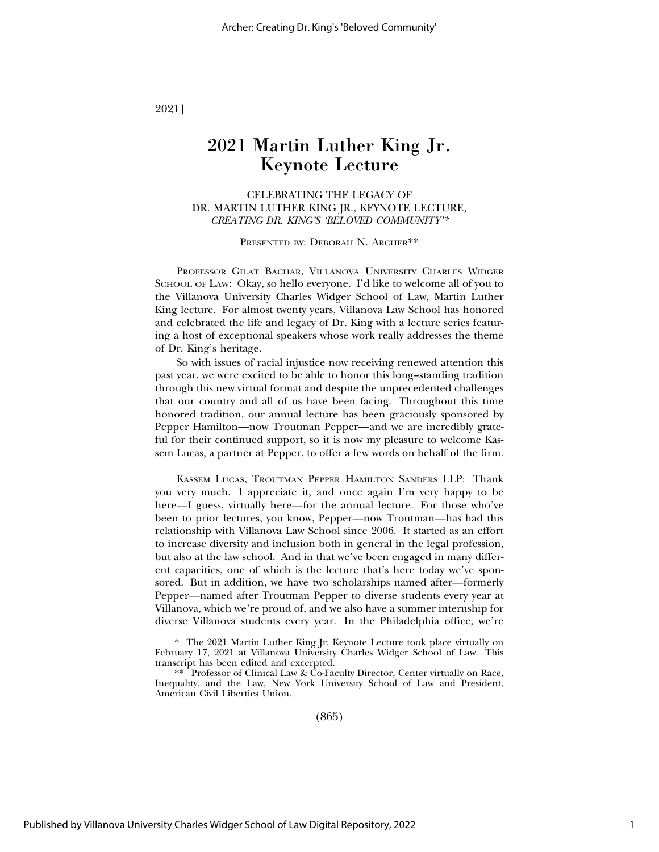2021]

## 2021 Martin Luther King Jr. Keynote Lecture

CELEBRATING THE LEGACY OF DR. MARTIN LUTHER KING JR., KEYNOTE LECTURE, *CREATING DR. KING'S 'BELOVED COMMUNITY'\**

PRESENTED BY: DEBORAH N. ARCHER\*\*

PROFESSOR GILAT BACHAR, VILLANOVA UNIVERSITY CHARLES WIDGER SCHOOL OF LAW: Okay, so hello everyone. I'd like to welcome all of you to the Villanova University Charles Widger School of Law, Martin Luther King lecture. For almost twenty years, Villanova Law School has honored and celebrated the life and legacy of Dr. King with a lecture series featuring a host of exceptional speakers whose work really addresses the theme of Dr. King's heritage.

So with issues of racial injustice now receiving renewed attention this past year, we were excited to be able to honor this long–standing tradition through this new virtual format and despite the unprecedented challenges that our country and all of us have been facing. Throughout this time honored tradition, our annual lecture has been graciously sponsored by Pepper Hamilton—now Troutman Pepper—and we are incredibly grateful for their continued support, so it is now my pleasure to welcome Kassem Lucas, a partner at Pepper, to offer a few words on behalf of the firm.

KASSEM LUCAS, TROUTMAN PEPPER HAMILTON SANDERS LLP: Thank you very much. I appreciate it, and once again I'm very happy to be here—I guess, virtually here—for the annual lecture. For those who've been to prior lectures, you know, Pepper—now Troutman—has had this relationship with Villanova Law School since 2006. It started as an effort to increase diversity and inclusion both in general in the legal profession, but also at the law school. And in that we've been engaged in many different capacities, one of which is the lecture that's here today we've sponsored. But in addition, we have two scholarships named after—formerly Pepper—named after Troutman Pepper to diverse students every year at Villanova, which we're proud of, and we also have a summer internship for diverse Villanova students every year. In the Philadelphia office, we're

(865)

<sup>\*</sup> The 2021 Martin Luther King Jr. Keynote Lecture took place virtually on February 17, 2021 at Villanova University Charles Widger School of Law. This transcript has been edited and excerpted.

<sup>\*\*</sup> Professor of Clinical Law & Co-Faculty Director, Center virtually on Race, Inequality, and the Law, New York University School of Law and President, American Civil Liberties Union.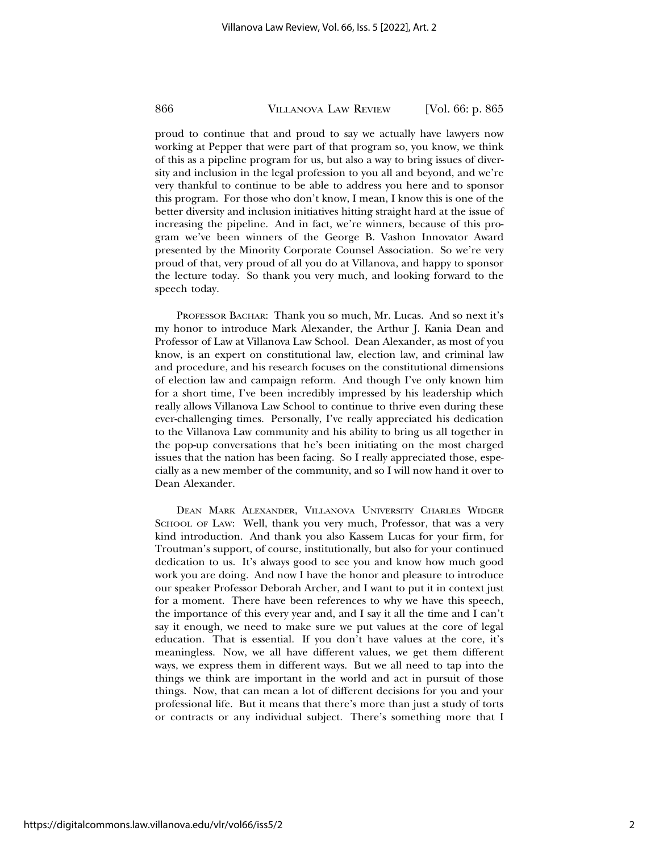proud to continue that and proud to say we actually have lawyers now working at Pepper that were part of that program so, you know, we think of this as a pipeline program for us, but also a way to bring issues of diversity and inclusion in the legal profession to you all and beyond, and we're very thankful to continue to be able to address you here and to sponsor this program. For those who don't know, I mean, I know this is one of the better diversity and inclusion initiatives hitting straight hard at the issue of increasing the pipeline. And in fact, we're winners, because of this program we've been winners of the George B. Vashon Innovator Award presented by the Minority Corporate Counsel Association. So we're very proud of that, very proud of all you do at Villanova, and happy to sponsor the lecture today. So thank you very much, and looking forward to the speech today.

PROFESSOR BACHAR: Thank you so much, Mr. Lucas. And so next it's my honor to introduce Mark Alexander, the Arthur J. Kania Dean and Professor of Law at Villanova Law School. Dean Alexander, as most of you know, is an expert on constitutional law, election law, and criminal law and procedure, and his research focuses on the constitutional dimensions of election law and campaign reform. And though I've only known him for a short time, I've been incredibly impressed by his leadership which really allows Villanova Law School to continue to thrive even during these ever-challenging times. Personally, I've really appreciated his dedication to the Villanova Law community and his ability to bring us all together in the pop-up conversations that he's been initiating on the most charged issues that the nation has been facing. So I really appreciated those, especially as a new member of the community, and so I will now hand it over to Dean Alexander.

DEAN MARK ALEXANDER, VILLANOVA UNIVERSITY CHARLES WIDGER SCHOOL OF LAW: Well, thank you very much, Professor, that was a very kind introduction. And thank you also Kassem Lucas for your firm, for Troutman's support, of course, institutionally, but also for your continued dedication to us. It's always good to see you and know how much good work you are doing. And now I have the honor and pleasure to introduce our speaker Professor Deborah Archer, and I want to put it in context just for a moment. There have been references to why we have this speech, the importance of this every year and, and I say it all the time and I can't say it enough, we need to make sure we put values at the core of legal education. That is essential. If you don't have values at the core, it's meaningless. Now, we all have different values, we get them different ways, we express them in different ways. But we all need to tap into the things we think are important in the world and act in pursuit of those things. Now, that can mean a lot of different decisions for you and your professional life. But it means that there's more than just a study of torts or contracts or any individual subject. There's something more that I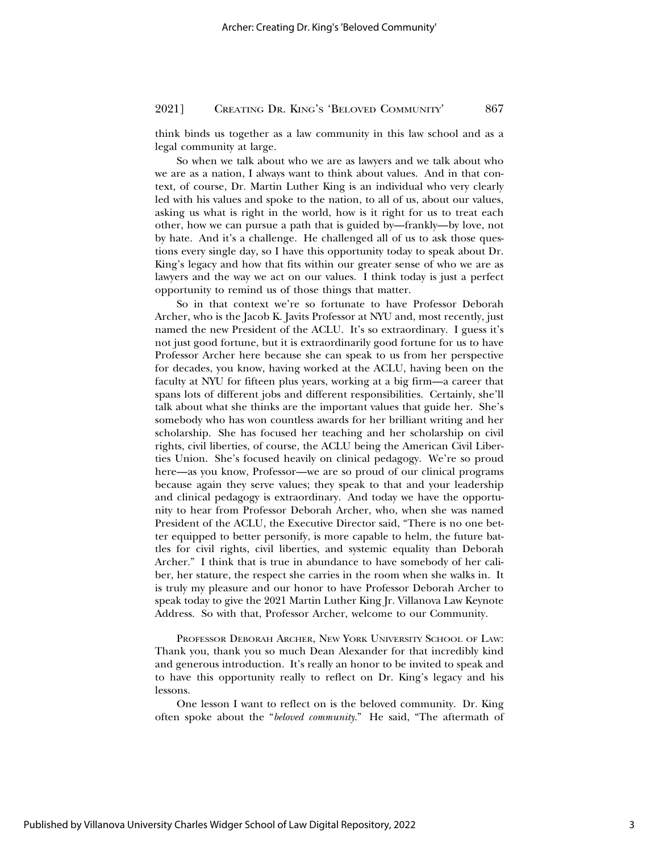think binds us together as a law community in this law school and as a legal community at large.

So when we talk about who we are as lawyers and we talk about who we are as a nation, I always want to think about values. And in that context, of course, Dr. Martin Luther King is an individual who very clearly led with his values and spoke to the nation, to all of us, about our values, asking us what is right in the world, how is it right for us to treat each other, how we can pursue a path that is guided by—frankly—by love, not by hate. And it's a challenge. He challenged all of us to ask those questions every single day, so I have this opportunity today to speak about Dr. King's legacy and how that fits within our greater sense of who we are as lawyers and the way we act on our values. I think today is just a perfect opportunity to remind us of those things that matter.

So in that context we're so fortunate to have Professor Deborah Archer, who is the Jacob K. Javits Professor at NYU and, most recently, just named the new President of the ACLU. It's so extraordinary. I guess it's not just good fortune, but it is extraordinarily good fortune for us to have Professor Archer here because she can speak to us from her perspective for decades, you know, having worked at the ACLU, having been on the faculty at NYU for fifteen plus years, working at a big firm—a career that spans lots of different jobs and different responsibilities. Certainly, she'll talk about what she thinks are the important values that guide her. She's somebody who has won countless awards for her brilliant writing and her scholarship. She has focused her teaching and her scholarship on civil rights, civil liberties, of course, the ACLU being the American Civil Liberties Union. She's focused heavily on clinical pedagogy. We're so proud here—as you know, Professor—we are so proud of our clinical programs because again they serve values; they speak to that and your leadership and clinical pedagogy is extraordinary. And today we have the opportunity to hear from Professor Deborah Archer, who, when she was named President of the ACLU, the Executive Director said, "There is no one better equipped to better personify, is more capable to helm, the future battles for civil rights, civil liberties, and systemic equality than Deborah Archer." I think that is true in abundance to have somebody of her caliber, her stature, the respect she carries in the room when she walks in. It is truly my pleasure and our honor to have Professor Deborah Archer to speak today to give the 2021 Martin Luther King Jr. Villanova Law Keynote Address. So with that, Professor Archer, welcome to our Community.

PROFESSOR DEBORAH ARCHER, NEW YORK UNIVERSITY SCHOOL OF LAW: Thank you, thank you so much Dean Alexander for that incredibly kind and generous introduction. It's really an honor to be invited to speak and to have this opportunity really to reflect on Dr. King's legacy and his lessons.

One lesson I want to reflect on is the beloved community. Dr. King often spoke about the "*beloved community*." He said, "The aftermath of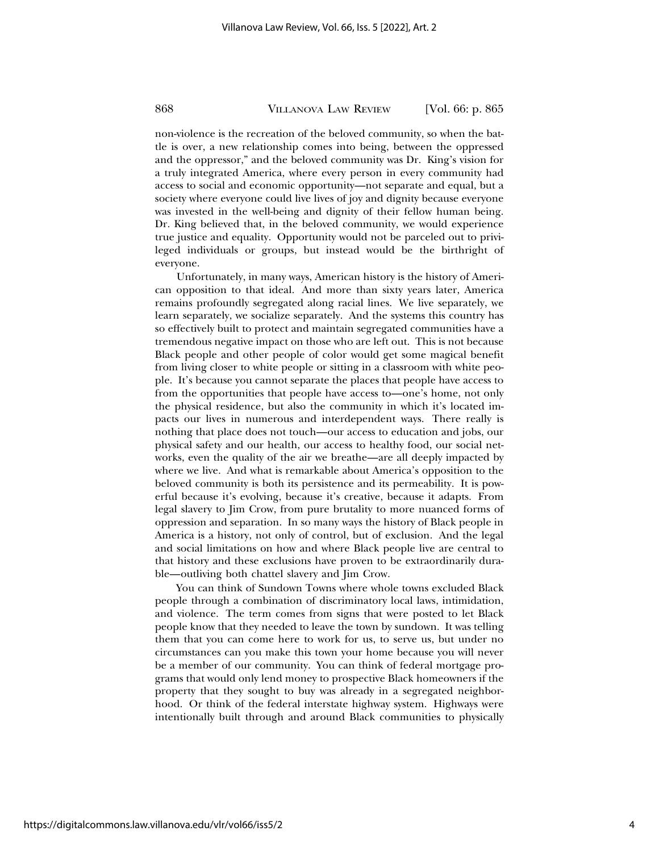non-violence is the recreation of the beloved community, so when the battle is over, a new relationship comes into being, between the oppressed and the oppressor," and the beloved community was Dr. King's vision for a truly integrated America, where every person in every community had access to social and economic opportunity—not separate and equal, but a society where everyone could live lives of joy and dignity because everyone was invested in the well-being and dignity of their fellow human being. Dr. King believed that, in the beloved community, we would experience true justice and equality. Opportunity would not be parceled out to privileged individuals or groups, but instead would be the birthright of everyone.

Unfortunately, in many ways, American history is the history of American opposition to that ideal. And more than sixty years later, America remains profoundly segregated along racial lines. We live separately, we learn separately, we socialize separately. And the systems this country has so effectively built to protect and maintain segregated communities have a tremendous negative impact on those who are left out. This is not because Black people and other people of color would get some magical benefit from living closer to white people or sitting in a classroom with white people. It's because you cannot separate the places that people have access to from the opportunities that people have access to—one's home, not only the physical residence, but also the community in which it's located impacts our lives in numerous and interdependent ways. There really is nothing that place does not touch—our access to education and jobs, our physical safety and our health, our access to healthy food, our social networks, even the quality of the air we breathe—are all deeply impacted by where we live. And what is remarkable about America's opposition to the beloved community is both its persistence and its permeability. It is powerful because it's evolving, because it's creative, because it adapts. From legal slavery to Jim Crow, from pure brutality to more nuanced forms of oppression and separation. In so many ways the history of Black people in America is a history, not only of control, but of exclusion. And the legal and social limitations on how and where Black people live are central to that history and these exclusions have proven to be extraordinarily durable—outliving both chattel slavery and Jim Crow.

You can think of Sundown Towns where whole towns excluded Black people through a combination of discriminatory local laws, intimidation, and violence. The term comes from signs that were posted to let Black people know that they needed to leave the town by sundown. It was telling them that you can come here to work for us, to serve us, but under no circumstances can you make this town your home because you will never be a member of our community. You can think of federal mortgage programs that would only lend money to prospective Black homeowners if the property that they sought to buy was already in a segregated neighborhood. Or think of the federal interstate highway system. Highways were intentionally built through and around Black communities to physically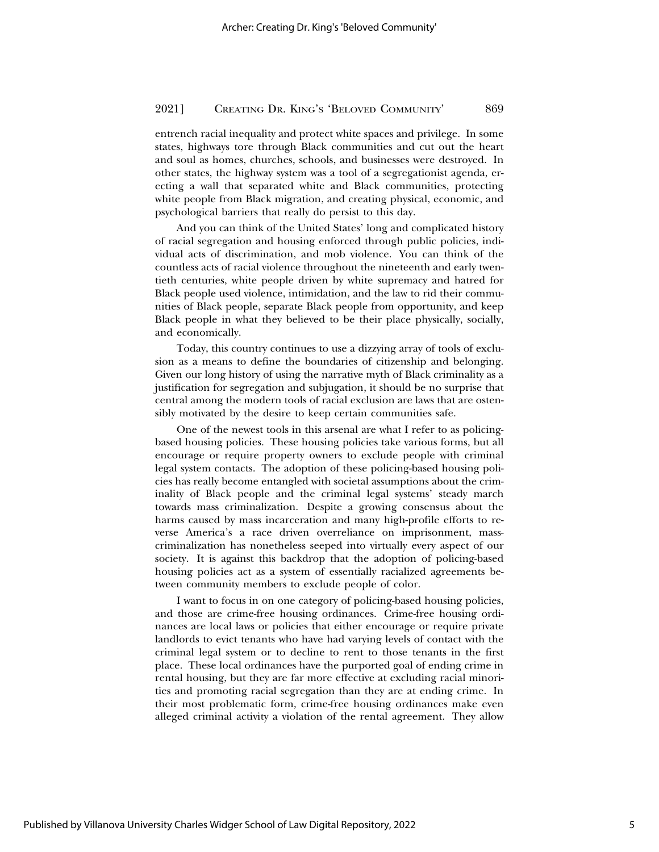entrench racial inequality and protect white spaces and privilege. In some states, highways tore through Black communities and cut out the heart and soul as homes, churches, schools, and businesses were destroyed. In other states, the highway system was a tool of a segregationist agenda, erecting a wall that separated white and Black communities, protecting white people from Black migration, and creating physical, economic, and psychological barriers that really do persist to this day.

And you can think of the United States' long and complicated history of racial segregation and housing enforced through public policies, individual acts of discrimination, and mob violence. You can think of the countless acts of racial violence throughout the nineteenth and early twentieth centuries, white people driven by white supremacy and hatred for Black people used violence, intimidation, and the law to rid their communities of Black people, separate Black people from opportunity, and keep Black people in what they believed to be their place physically, socially, and economically.

Today, this country continues to use a dizzying array of tools of exclusion as a means to define the boundaries of citizenship and belonging. Given our long history of using the narrative myth of Black criminality as a justification for segregation and subjugation, it should be no surprise that central among the modern tools of racial exclusion are laws that are ostensibly motivated by the desire to keep certain communities safe.

One of the newest tools in this arsenal are what I refer to as policingbased housing policies. These housing policies take various forms, but all encourage or require property owners to exclude people with criminal legal system contacts. The adoption of these policing-based housing policies has really become entangled with societal assumptions about the criminality of Black people and the criminal legal systems' steady march towards mass criminalization. Despite a growing consensus about the harms caused by mass incarceration and many high-profile efforts to reverse America's a race driven overreliance on imprisonment, masscriminalization has nonetheless seeped into virtually every aspect of our society. It is against this backdrop that the adoption of policing-based housing policies act as a system of essentially racialized agreements between community members to exclude people of color.

I want to focus in on one category of policing-based housing policies, and those are crime-free housing ordinances. Crime-free housing ordinances are local laws or policies that either encourage or require private landlords to evict tenants who have had varying levels of contact with the criminal legal system or to decline to rent to those tenants in the first place. These local ordinances have the purported goal of ending crime in rental housing, but they are far more effective at excluding racial minorities and promoting racial segregation than they are at ending crime. In their most problematic form, crime-free housing ordinances make even alleged criminal activity a violation of the rental agreement. They allow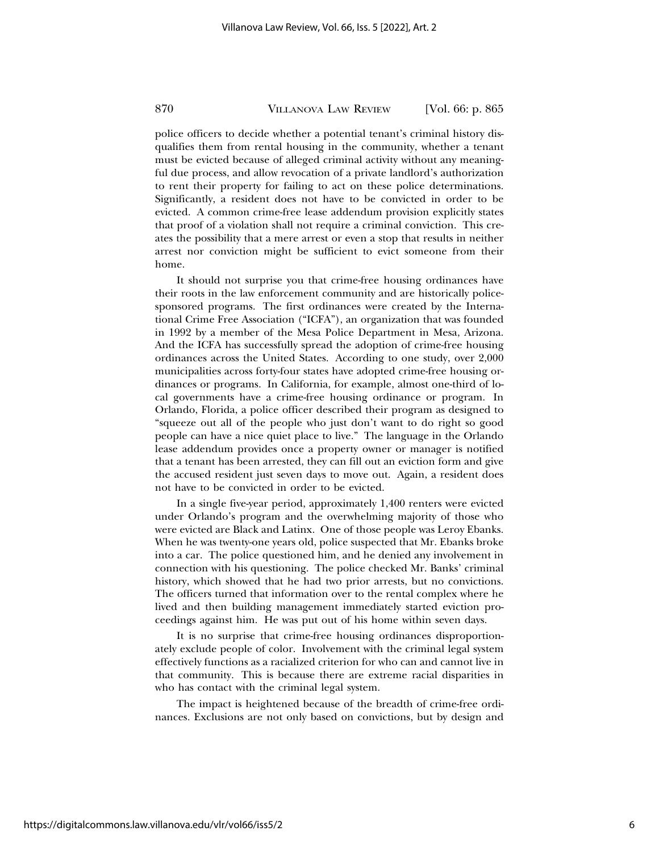police officers to decide whether a potential tenant's criminal history disqualifies them from rental housing in the community, whether a tenant must be evicted because of alleged criminal activity without any meaningful due process, and allow revocation of a private landlord's authorization to rent their property for failing to act on these police determinations. Significantly, a resident does not have to be convicted in order to be evicted. A common crime-free lease addendum provision explicitly states that proof of a violation shall not require a criminal conviction. This creates the possibility that a mere arrest or even a stop that results in neither arrest nor conviction might be sufficient to evict someone from their home.

It should not surprise you that crime-free housing ordinances have their roots in the law enforcement community and are historically policesponsored programs. The first ordinances were created by the International Crime Free Association ("ICFA"), an organization that was founded in 1992 by a member of the Mesa Police Department in Mesa, Arizona. And the ICFA has successfully spread the adoption of crime-free housing ordinances across the United States. According to one study, over 2,000 municipalities across forty-four states have adopted crime-free housing ordinances or programs. In California, for example, almost one-third of local governments have a crime-free housing ordinance or program. In Orlando, Florida, a police officer described their program as designed to "squeeze out all of the people who just don't want to do right so good people can have a nice quiet place to live." The language in the Orlando lease addendum provides once a property owner or manager is notified that a tenant has been arrested, they can fill out an eviction form and give the accused resident just seven days to move out. Again, a resident does not have to be convicted in order to be evicted.

In a single five-year period, approximately 1,400 renters were evicted under Orlando's program and the overwhelming majority of those who were evicted are Black and Latinx. One of those people was Leroy Ebanks. When he was twenty-one years old, police suspected that Mr. Ebanks broke into a car. The police questioned him, and he denied any involvement in connection with his questioning. The police checked Mr. Banks' criminal history, which showed that he had two prior arrests, but no convictions. The officers turned that information over to the rental complex where he lived and then building management immediately started eviction proceedings against him. He was put out of his home within seven days.

It is no surprise that crime-free housing ordinances disproportionately exclude people of color. Involvement with the criminal legal system effectively functions as a racialized criterion for who can and cannot live in that community. This is because there are extreme racial disparities in who has contact with the criminal legal system.

The impact is heightened because of the breadth of crime-free ordinances. Exclusions are not only based on convictions, but by design and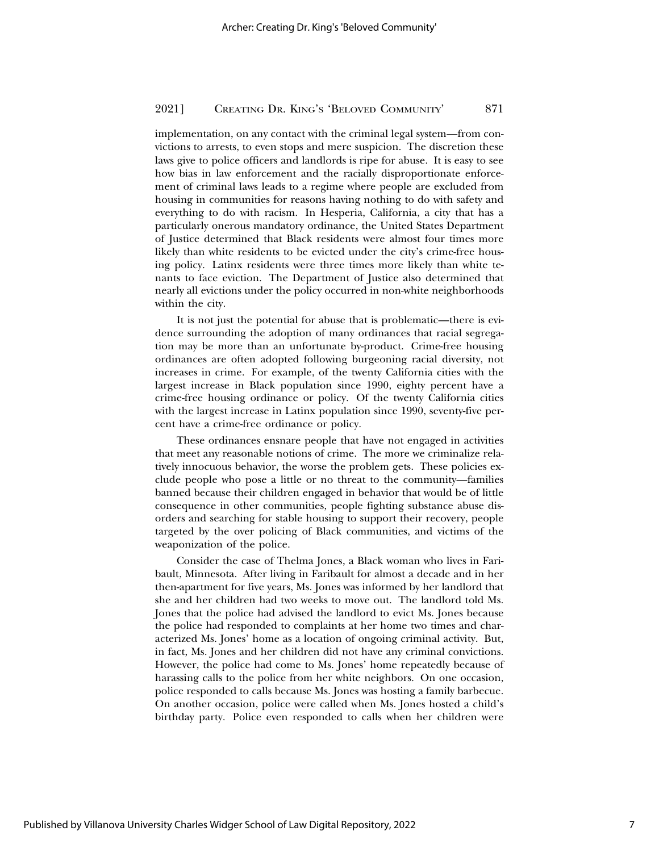implementation, on any contact with the criminal legal system—from convictions to arrests, to even stops and mere suspicion. The discretion these laws give to police officers and landlords is ripe for abuse. It is easy to see how bias in law enforcement and the racially disproportionate enforcement of criminal laws leads to a regime where people are excluded from housing in communities for reasons having nothing to do with safety and everything to do with racism. In Hesperia, California, a city that has a particularly onerous mandatory ordinance, the United States Department of Justice determined that Black residents were almost four times more likely than white residents to be evicted under the city's crime-free housing policy. Latinx residents were three times more likely than white tenants to face eviction. The Department of Justice also determined that nearly all evictions under the policy occurred in non-white neighborhoods within the city.

It is not just the potential for abuse that is problematic—there is evidence surrounding the adoption of many ordinances that racial segregation may be more than an unfortunate by-product. Crime-free housing ordinances are often adopted following burgeoning racial diversity, not increases in crime. For example, of the twenty California cities with the largest increase in Black population since 1990, eighty percent have a crime-free housing ordinance or policy. Of the twenty California cities with the largest increase in Latinx population since 1990, seventy-five percent have a crime-free ordinance or policy.

These ordinances ensnare people that have not engaged in activities that meet any reasonable notions of crime. The more we criminalize relatively innocuous behavior, the worse the problem gets. These policies exclude people who pose a little or no threat to the community—families banned because their children engaged in behavior that would be of little consequence in other communities, people fighting substance abuse disorders and searching for stable housing to support their recovery, people targeted by the over policing of Black communities, and victims of the weaponization of the police.

Consider the case of Thelma Jones, a Black woman who lives in Faribault, Minnesota. After living in Faribault for almost a decade and in her then-apartment for five years, Ms. Jones was informed by her landlord that she and her children had two weeks to move out. The landlord told Ms. Jones that the police had advised the landlord to evict Ms. Jones because the police had responded to complaints at her home two times and characterized Ms. Jones' home as a location of ongoing criminal activity. But, in fact, Ms. Jones and her children did not have any criminal convictions. However, the police had come to Ms. Jones' home repeatedly because of harassing calls to the police from her white neighbors. On one occasion, police responded to calls because Ms. Jones was hosting a family barbecue. On another occasion, police were called when Ms. Jones hosted a child's birthday party. Police even responded to calls when her children were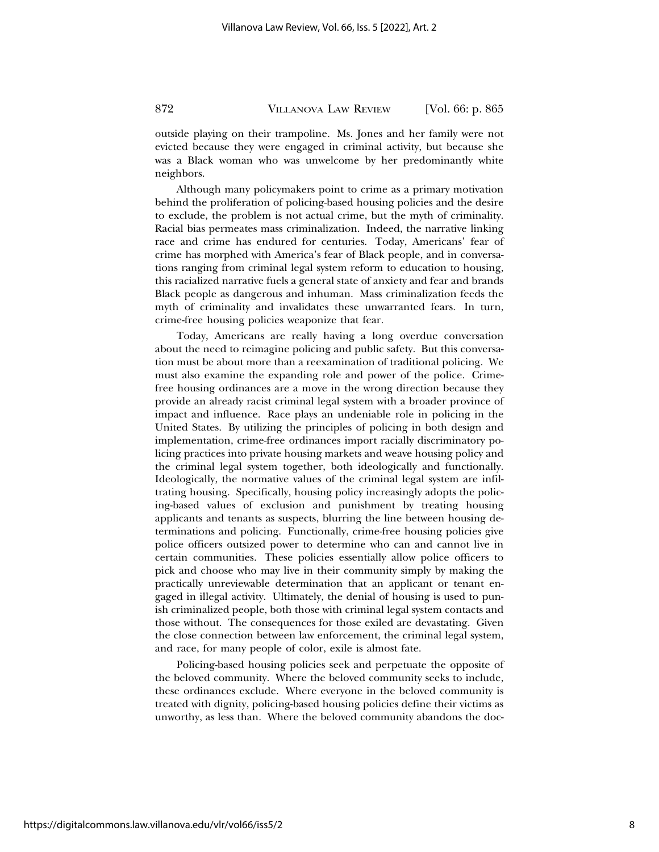outside playing on their trampoline. Ms. Jones and her family were not evicted because they were engaged in criminal activity, but because she was a Black woman who was unwelcome by her predominantly white neighbors.

Although many policymakers point to crime as a primary motivation behind the proliferation of policing-based housing policies and the desire to exclude, the problem is not actual crime, but the myth of criminality. Racial bias permeates mass criminalization. Indeed, the narrative linking race and crime has endured for centuries. Today, Americans' fear of crime has morphed with America's fear of Black people, and in conversations ranging from criminal legal system reform to education to housing, this racialized narrative fuels a general state of anxiety and fear and brands Black people as dangerous and inhuman. Mass criminalization feeds the myth of criminality and invalidates these unwarranted fears. In turn, crime-free housing policies weaponize that fear.

Today, Americans are really having a long overdue conversation about the need to reimagine policing and public safety. But this conversation must be about more than a reexamination of traditional policing. We must also examine the expanding role and power of the police. Crimefree housing ordinances are a move in the wrong direction because they provide an already racist criminal legal system with a broader province of impact and influence. Race plays an undeniable role in policing in the United States. By utilizing the principles of policing in both design and implementation, crime-free ordinances import racially discriminatory policing practices into private housing markets and weave housing policy and the criminal legal system together, both ideologically and functionally. Ideologically, the normative values of the criminal legal system are infiltrating housing. Specifically, housing policy increasingly adopts the policing-based values of exclusion and punishment by treating housing applicants and tenants as suspects, blurring the line between housing determinations and policing. Functionally, crime-free housing policies give police officers outsized power to determine who can and cannot live in certain communities. These policies essentially allow police officers to pick and choose who may live in their community simply by making the practically unreviewable determination that an applicant or tenant engaged in illegal activity. Ultimately, the denial of housing is used to punish criminalized people, both those with criminal legal system contacts and those without. The consequences for those exiled are devastating. Given the close connection between law enforcement, the criminal legal system, and race, for many people of color, exile is almost fate.

Policing-based housing policies seek and perpetuate the opposite of the beloved community. Where the beloved community seeks to include, these ordinances exclude. Where everyone in the beloved community is treated with dignity, policing-based housing policies define their victims as unworthy, as less than. Where the beloved community abandons the doc-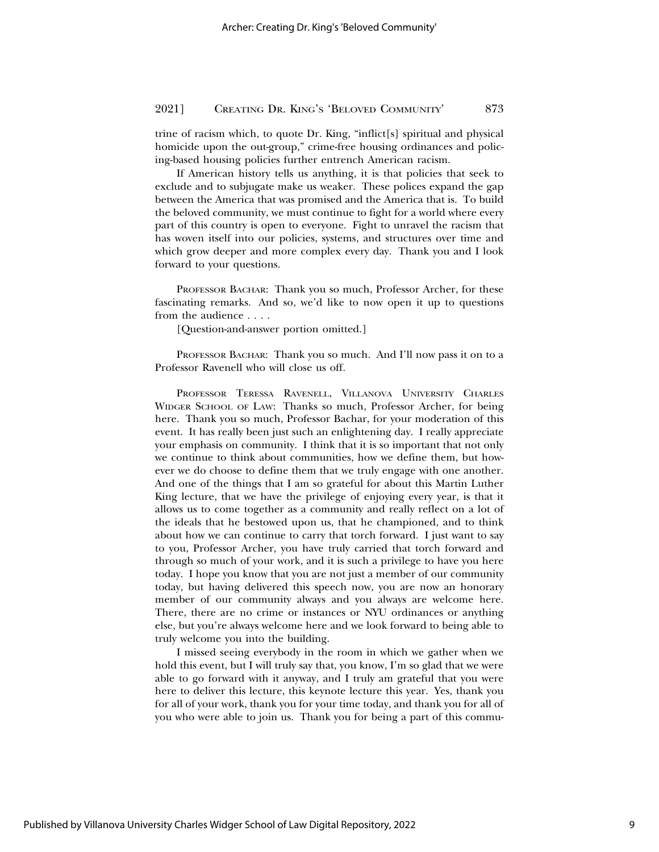trine of racism which, to quote Dr. King, "inflict[s] spiritual and physical homicide upon the out-group," crime-free housing ordinances and policing-based housing policies further entrench American racism.

If American history tells us anything, it is that policies that seek to exclude and to subjugate make us weaker. These polices expand the gap between the America that was promised and the America that is. To build the beloved community, we must continue to fight for a world where every part of this country is open to everyone. Fight to unravel the racism that has woven itself into our policies, systems, and structures over time and which grow deeper and more complex every day. Thank you and I look forward to your questions.

PROFESSOR BACHAR: Thank you so much, Professor Archer, for these fascinating remarks. And so, we'd like to now open it up to questions from the audience . . . .

[Question-and-answer portion omitted.]

PROFESSOR BACHAR: Thank you so much. And I'll now pass it on to a Professor Ravenell who will close us off.

PROFESSOR TERESSA RAVENELL, VILLANOVA UNIVERSITY CHARLES WIDGER SCHOOL OF LAW: Thanks so much, Professor Archer, for being here. Thank you so much, Professor Bachar, for your moderation of this event. It has really been just such an enlightening day. I really appreciate your emphasis on community. I think that it is so important that not only we continue to think about communities, how we define them, but however we do choose to define them that we truly engage with one another. And one of the things that I am so grateful for about this Martin Luther King lecture, that we have the privilege of enjoying every year, is that it allows us to come together as a community and really reflect on a lot of the ideals that he bestowed upon us, that he championed, and to think about how we can continue to carry that torch forward. I just want to say to you, Professor Archer, you have truly carried that torch forward and through so much of your work, and it is such a privilege to have you here today. I hope you know that you are not just a member of our community today, but having delivered this speech now, you are now an honorary member of our community always and you always are welcome here. There, there are no crime or instances or NYU ordinances or anything else, but you're always welcome here and we look forward to being able to truly welcome you into the building.

I missed seeing everybody in the room in which we gather when we hold this event, but I will truly say that, you know, I'm so glad that we were able to go forward with it anyway, and I truly am grateful that you were here to deliver this lecture, this keynote lecture this year. Yes, thank you for all of your work, thank you for your time today, and thank you for all of you who were able to join us. Thank you for being a part of this commu-